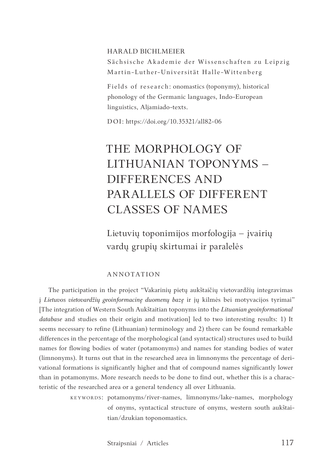#### HARALD BICHLMEIER

Sächsische Akademie der Wissenschaften zu Leipzig Martin-Luther-Universität Halle-Wittenberg

Fields of research: onomastics (toponymy), historical phonology of the Germanic languages, Indo-European linguistics, Aljamiado-texts.

DOI: https://doi.org/10.35321/all82-06

# THE MORPHOLOGY OF LITHUANIAN TOPONYMS – DIFFERENCES AND PARALLELS OF DIFFERENT CLASSES OF NAMES

Lietuvių toponimijos morfologija – įvairių vardų grupių skirtumai ir paralelės

#### ANNOTATION

The participation in the project "Vakarinių pietų aukštaičių vietovardžių integravimas į *Lietuvos vietovardžių geoinformacinę duomenų bazę* ir jų kilmės bei motyvacijos tyrimai" [The integration of Western South Aukštaitian toponyms into the *Lituanian geoinformational database* and studies on their origin and motivation] led to two interesting results: 1) It seems necessary to refine (Lithuanian) terminology and 2) there can be found remarkable differences in the percentage of the morphological (and syntactical) structures used to build names for flowing bodies of water (potamonyms) and names for standing bodies of water (limnonyms). It turns out that in the researched area in limnonyms the percentage of derivational formations is significantly higher and that of compound names significantly lower than in potamonyms. More research needs to be done to find out, whether this is a characteristic of the researched area or a general tendency all over Lithuania.

> KEYWORDS: potamonyms/river-names, limnonyms/lake-names, morphology of onyms, syntactical structure of onyms, western south aukštaitian/dzukian toponomastics.

> > Straipsniai / Articles 117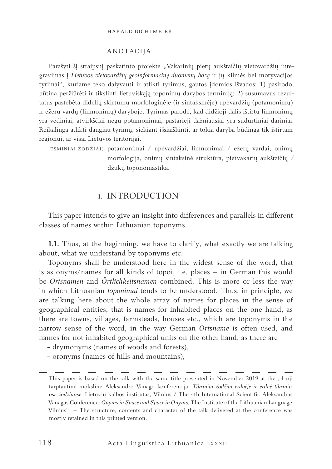#### Harald Bichlmeier

#### ANOTACIJA

Parašyti šį straipsnį paskatinto projekte "Vakarinių pietų aukštaičių vietovardžių integravimas į *Lietuvos vietovardžių geoinformacinę duomenų bazę* ir jų kilmės bei motyvacijos tyrimai", kuriame teko dalyvauti ir atlikti tyrimus, gautos įdomios išvados: 1) pasirodo, būtina peržiūrėti ir tikslinti lietuviškąją toponimų darybos terminiją; 2) susumavus rezultatus pastebėta didelių skirtumų morfologinėje (ir sintaksinėje) upėvardžių (potamonimų) ir ežerų vardų (limnonimų) daryboje. Tyrimas parodė, kad didžioji dalis ištirtų limnonimų yra vediniai, atvirkščiai negu potamonimai, pastarieji dažniausiai yra sudurtiniai dariniai. Reikalinga atlikti daugiau tyrimų, siekiant išsiaiškinti, ar tokia daryba būdinga tik ištirtam regionui, ar visai Lietuvos teritorijai.

ESMINIAI ŽODŽIAI: potamonimai / upėvardžiai, limnonimai / ežerų vardai, onimų morfologija, onimų sintaksinė struktūra, pietvakarių aukštaičių / dzūkų toponomastika.

## 1. INTRODUCTION1

This paper intends to give an insight into differences and parallels in different classes of names within Lithuanian toponyms.

**1.1.** Thus, at the beginning, we have to clarify, what exactly we are talking about, what we understand by toponyms etc.

Toponyms shall be understood here in the widest sense of the word, that is as onyms/names for all kinds of topoi, i.e. places – in German this would be *Ortsnamen* and *Örtlichkeitsnamen* combined. This is more or less the way in which Lithuanian *toponimai* tends to be understood. Thus, in principle, we are talking here about the whole array of names for places in the sense of geographical entities, that is names for inhabited places on the one hand, as there are towns, villages, farmsteads, houses etc., which are toponyms in the narrow sense of the word, in the way German *Ortsname* is often used, and names for not inhabited geographical units on the other hand, as there are

- drymonyms (names of woods and forests),
- oronyms (names of hills and mountains),

<sup>&</sup>lt;sup>1</sup> This paper is based on the talk with the same title presented in November 2019 at the "4-oji tarptautinė mokslinė Aleksandro Vanago konferencija: *Tikriniai žodžiai erdvėje ir erdvė tikriniuose žodžiuose.* Lietuvių kalbos institutas, Vilnius / The 4th International Scientific Aleksandras Vanagas Conference: *Onyms in Space and Space in Onyms.* The Institute of the Lithuanian Language, Vilnius". – The structure, contents and character of the talk delivered at the conference was mostly retained in this printed version.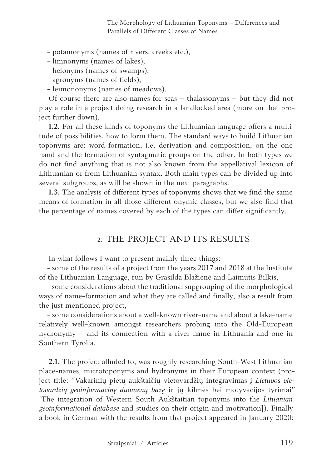The Morphology of Lithuanian Toponyms – Differences and Parallels of Different Classes of Names

- potamonyms (names of rivers, creeks etc.),

- limnonyms (names of lakes),
- helonyms (names of swamps),
- agronyms (names of fields),
- leimononyms (names of meadows).

Of course there are also names for seas – thalassonyms – but they did not play a role in a project doing research in a landlocked area (more on that project further down).

**1.2.** For all these kinds of toponyms the Lithuanian language offers a multitude of possibilities, how to form them. The standard ways to build Lithuanian toponyms are: word formation, i.e. derivation and composition, on the one hand and the formation of syntagmatic groups on the other. In both types we do not find anything that is not also known from the appellatival lexicon of Lithuanian or from Lithuanian syntax. Both main types can be divided up into several subgroups, as will be shown in the next paragraphs.

**1.3.** The analysis of different types of toponyms shows that we find the same means of formation in all those different onymic classes, but we also find that the percentage of names covered by each of the types can differ significantly.

## 2. THE PROJECT AND ITS RESULTS

In what follows I want to present mainly three things:

- some of the results of a project from the years 2017 and 2018 at the Institute of the Lithuanian Language, run by Grasilda Blažienė and Laimutis Bilkis,

- some considerations about the traditional supgrouping of the morphological ways of name-formation and what they are called and finally, also a result from the just mentioned project,

- some considerations about a well-known river-name and about a lake-name relatively well-known amongst researchers probing into the Old-European hydronymy – and its connection with a river-name in Lithuania and one in Southern Tyrolia.

**2.1.** The project alluded to, was roughly researching South-West Lithuanian place-names, microtoponyms and hydronyms in their European context (project title: "Vakarinių pietų aukštaičių vietovardžių integravimas į *Lietuvos vietovardžių geoinformacinę duomenų bazę* ir jų kilmės bei motyvacijos tyrimai" [The integration of Western South Aukštaitian toponyms into the *Lituanian geoinformational database* and studies on their origin and motivation]). Finally a book in German with the results from that project appeared in January 2020: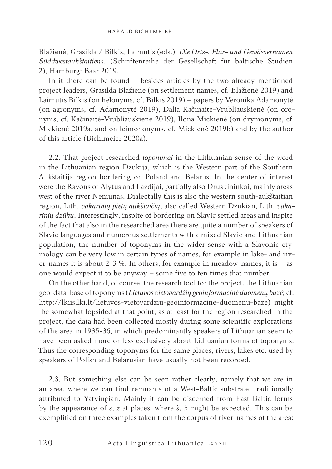Blažienė, Grasilda / Bilkis, Laimutis (eds.): *Die Orts-, Flur- und Gewässernamen Süddwestaukštaitiens*. (Schriftenreihe der Gesellschaft für baltische Studien 2), Hamburg: Baar 2019.

In it there can be found – besides articles by the two already mentioned project leaders, Grasilda Blažienė (on settlement names, cf. Blažienė 2019) and Laimutis Bilkis (on helonyms, cf. Bilkis 2019) – papers by Veronika Adamonytė (on agronyms, cf. Adamonytė 2019), Dalia Kačinaitė-Vrubliauskienė (on oronyms, cf. Kačinaitė-Vrubliauskienė 2019), Ilona Mickienė (on drymonyms, cf. Mickienė 2019a, and on leimononyms, cf. Mickienė 2019b) and by the author of this article (Bichlmeier 2020a).

**2.2.** That project researched *toponimai* in the Lithuanian sense of the word in the Lithuanian region Dzūkija, which is the Western part of the Southern Aukštaitija region bordering on Poland and Belarus. In the center of interest were the Rayons of Alytus and Lazdijai, partially also Druskininkai, mainly areas west of the river Nemunas. Dialectally this is also the western south-aukštaitian region, Lith. *vakarinių pietų aukštaičių*, also called Western Dzūkian, Lith. *vakarinių dzūkų*. Interestingly, inspite of bordering on Slavic settled areas and inspite of the fact that also in the researched area there are quite a number of speakers of Slavic languages and numerous settlements with a mixed Slavic and Lithuanian population, the number of toponyms in the wider sense with a Slavonic etymology can be very low in certain types of names, for example in lake- and river-names it is about 2-3 %. In others, for example in meadow-names, it is  $-$  as one would expect it to be anyway – some five to ten times that number.

On the other hand, of course, the research tool for the project, the Lithuanian geo-data-base of toponyms (*Lietuvos vietovardžių geoinformacinė duomenų bazė*; cf. http://lkiis.lki.lt/lietuvos-vietovardziu-geoinformacine-duomenu-baze) might be somewhat lopsided at that point, as at least for the region researched in the project, the data had been collected mostly during some scientific explorations of the area in 1935-36, in which predominantly speakers of Lithuanian seem to have been asked more or less exclusively about Lithuanian forms of toponyms. Thus the corresponding toponyms for the same places, rivers, lakes etc. used by speakers of Polish and Belarusian have usually not been recorded.

**2.3.** But something else can be seen rather clearly, namely that we are in an area, where we can find remnants of a West-Baltic substrate, traditionally attributed to Yatvingian. Mainly it can be discerned from East-Baltic forms by the appearance of *s*, *z* at places, where *š*, *ž* might be expected. This can be exemplified on three examples taken from the corpus of river-names of the area: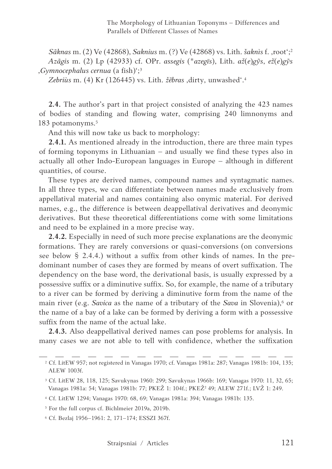*Sãknas* m. (2) Ve (42868), *Saknius* m. (?) Ve (42868) vs. Lith. *šaknìs* f. 'root';2 *Azãgis* m. (2) Lp (42933) cf. OPr. *assegis* (\**azegīs*), Lith. *až*(*e*)*gỹs*, *ež*(*e*)*gỹs* '*Gymnocephalus cernua* (a fish)';3

*Zebriùs* m. (4) Kr (126445) vs. Lith. *žẽbras* 'dirty, unwashed'.4

**2.4.** The author's part in that project consisted of analyzing the 423 names of bodies of standing and flowing water, comprising 240 limnonyms and 183 potamonyms.5

And this will now take us back to morphology:

**2.4.1.** As mentioned already in the introduction, there are three main types of forming toponyms in Lithuanian – and usually we find these types also in actually all other Indo-European languages in Europe – although in different quantities, of course.

These types are derived names, compound names and syntagmatic names. In all three types, we can differentiate between names made exclusively from appellatival material and names containing also onymic material. For derived names, e.g., the difference is between deappellatival derivatives and deonymic derivatives. But these theoretical differentiations come with some limitations and need to be explained in a more precise way.

**2.4.2.** Especially in need of such more precise explanations are the deonymic formations. They are rarely conversions or quasi-conversions (on conversions see below § 2.4.4.) without a suffix from other kinds of names. In the predominant number of cases they are formed by means of overt suffixation. The dependency on the base word, the derivational basis, is usually expressed by a possessive suffix or a diminutive suffix. So, for example, the name of a tributary to a river can be formed by deriving a diminutive form from the name of the main river (e.g. *Savica* as the name of a tributary of the *Sava* in Slovenia),<sup>6</sup> or the name of a bay of a lake can be formed by deriving a form with a possessive suffix from the name of the actual lake.

**2.4.3.** Also deappellatival derived names can pose problems for analysis. In many cases we are not able to tell with confidence, whether the suffixation

<sup>2</sup> Cf. LitEW 957; not registered in Vanagas 1970; cf. Vanagas 1981a: 287; Vanagas 1981b: 104, 135; ALEW 1003f.

<sup>3</sup> Cf. LitEW 28, 118, 125; Savukynas 1960: 299; Savukynas 1966b: 169; Vanagas 1970: 11, 32, 65; Vanagas 1981a: 54; Vanagas 1981b: 77; PKEŽ 1: 104f.; PKEŽ<sup>2</sup> 49; ALEW 271f.; LVŽ 1: 249.

<sup>4</sup> Cf. LitEW 1294; Vanagas 1970: 68, 69; Vanagas 1981a: 394; Vanagas 1981b: 135.

<sup>5</sup> For the full corpus cf. Bichlmeier 2019a, 2019b.

<sup>6</sup> Cf. Bezlaj 1956–1961: 2, 171–174; ESSZI 367f.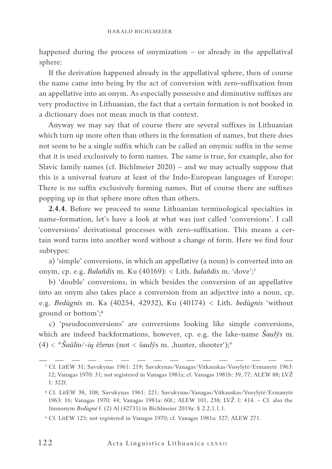happened during the process of onymization – or already in the appellatival sphere:

If the derivation happened already in the appellatival sphere, then of course the name came into being by the act of conversion with zero-suffixation from an appellative into an onym. As especially possessive and diminutive suffixes are very productive in Lithuanian, the fact that a certain formation is not booked in a dictionary does not mean much in that context.

Anyway we may say that of course there are several suffixes in Lithuanian which turn up more often than others in the formation of names, but there does not seem to be a single suffix which can be called an onymic suffix in the sense that it is used exclusively to form names. The same is true, for example, also for Slavic family names (cf. Bichlmeier 2020) – and we may actually suppose that this is a universal feature at least of the Indo-European languages of Europe: There is no suffix exclusively forming names. But of course there are suffixes popping up in that sphere more often than others.

**2.4.4.** Before we proceed to some Lithuanian terminological specialties in name-formation, let's have a look at what was just called 'conversions'. I call 'conversions' derivational processes with zero-suffixation. This means a certain word turns into another word without a change of form. Here we find four subtypes:

a) 'simple' conversions, in which an appellative (a noun) is converted into an onym, cp. e.g. *Balañdis* m. Ku (40169): < Lith. *balañdis* m. 'dove';7

b) 'double' conversions, in which besides the conversion of an appellative into an onym also takes place a conversion from an adjective into a noun, cp. e.g. *Bedùgnis* m. Ka (40254, 42932), Ku (40174) < Lith. *bedùgnis* 'without ground or bottom';8

c) 'pseudoconversions' are conversions looking like simple conversions, which are indeed backformations, however, cp. e.g. the lake-name *Šaulỹs* m. (4) < \**Šaũlio*/-*ių ẽžeras* (not < *šaulỹs* m. 'hunter, shooter');9

<sup>7</sup> Cf. LitEW 31; Savukynas 1961: 219; Savukynas/Vanagas/Vitkauskas/Vosylytė/Ermanytė 1963: 12; Vanagas 1970: 31; not registered in Vanagas 1981a; cf. Vanagas 1981b: 39, 77; ALEW 88; LVŽ 1: 322f.

<sup>8</sup> Cf. LitEW 38, 108; Savukynas 1961: 221; Savukynas/Vanagas/Vitkauskas/Vosylytė/Ermanytė 1963: 16; Vanagas 1970: 44; Vanagas 1981a: 60f.; ALEW 101, 238; LVŽ 1: 414. – Cf. also the limnonym *Bedùgnė* f. (2) Al (42731) in Bichlmeier 2019a: § 2.2.1.1.1.

<sup>9</sup> Cf. LitEW 125; not registered in Vanagas 1970; cf. Vanagas 1981a: 327; ALEW 271.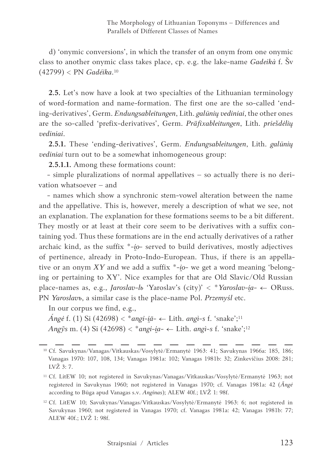d) 'onymic conversions', in which the transfer of an onym from one onymic class to another onymic class takes place, cp. e.g. the lake-name *Gadeikà* f. Šv (42799) < PN *Gadéika*.10

**2.5.** Let's now have a look at two specialties of the Lithuanian terminology of word-formation and name-formation. The first one are the so-called 'ending-derivatives', Germ. *Endungsableitungen*, Lith. *galūnių vediniai*, the other ones are the so-called 'prefix-derivatives', Germ. *Präfixableitungen*, Lith. *priešdėlių vediniai*.

**2.5.1.** These 'ending-derivatives', Germ. *Endungsableitungen*, Lith. *galūnių vediniai* turn out to be a somewhat inhomogeneous group:

**2.5.1.1.** Among these formations count:

- simple pluralizations of normal appellatives – so actually there is no derivation whatsoever – and

- names which show a synchronic stem-vowel alteration between the name and the appellative. This is, however, merely a description of what we see, not an explanation. The explanation for these formations seems to be a bit different. They mostly or at least at their core seem to be derivatives with a suffix containing yod. Thus these formations are in the end actually derivatives of a rather archaic kind, as the suffix \*-*i̯o*- served to build derivatives, mostly adjectives of pertinence, already in Proto-Indo-European. Thus, if there is an appellative or an onym XY and we add a suffix \*-*i*<sub>0</sub>- we get a word meaning 'belonging or pertaining to XY'. Nice examples for that are Old Slavic/Old Russian place-names as, e.g., *Jaroslav-l*b 'Yaroslav's (city)' < \**Yaroslav-ia*- ← ORuss. PN *Yaroslavъ*, a similar case is the place-name Pol. *Przemyśl* etc.

In our corpus we find, e.g.,

*Ángė* f. (1) Si (42698) < \**angi-i* $\bar{a}$ <sup>-</sup> ← Lith. *angi*-s f. 'snake';<sup>11</sup> *Angỹs* m. (4) Si (42698) < \**angi-i̯a-* ← Lith. *angì-s* f. 'snake';12

<sup>10</sup> Cf. Savukynas/Vanagas/Vitkauskas/Vosylytė/Ermanytė 1963: 41; Savukynas 1966a: 185, 186; Vanagas 1970: 107, 108, 134; Vanagas 1981a: 102; Vanagas 1981b: 32; Zinkevičius 2008: 281; LVŽ 3: 7.

<sup>11</sup> Cf. LitEW 10; not registered in Savukynas/Vanagas/Vitkauskas/Vosylytė/Ermanytė 1963; not registered in Savukynas 1960; not registered in Vanagas 1970; cf. Vanagas 1981a: 42 (*Ãngė* according to Būga apud Vanagas s.v. *Anginas*); ALEW 40f.; LVŽ 1: 98f.

<sup>12</sup> Cf. LitEW 10; Savukynas/Vanagas/Vitkauskas/Vosylytė/Ermanytė 1963: 6; not registered in Savukynas 1960; not registered in Vanagas 1970; cf. Vanagas 1981a: 42; Vanagas 1981b: 77; ALEW 40f.; LVŽ 1: 98f.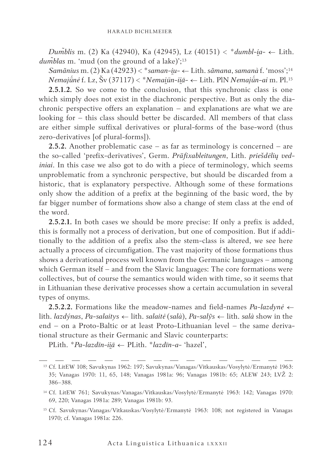*Dum̃blis* m. (2) Ka (42940), Ka (42945), Lz (40151) < \**dumbl-i̯a-* ← Lith. *dum̃blas* m. 'mud (on the ground of a lake)';<sup>13</sup>

*Samãnius* m. (2) Ka (42923) < \**saman-i̯u-* ← Lith. *sãmana*, *samanà* f. 'moss';14 *Nemajū́nė* f. Lz, Šv (37117) < \**Nemai̯ūn-ii̯ā-* ← Lith. PlN *Nemajū́n-ai* m. Pl.15

**2.5.1.2.** So we come to the conclusion, that this synchronic class is one which simply does not exist in the diachronic perspective. But as only the diachronic perspective offers an explanation – and explanations are what we are looking for – this class should better be discarded. All members of that class are either simple suffixal derivatives or plural-forms of the base-word (thus zero-derivatives [of plural-forms]).

**2.5.2.** Another problematic case – as far as terminology is concerned – are the so-called 'prefix-derivatives', Germ. *Präfixableitungen*, Lith. *priešdėlių vediniai*. In this case we also got to do with a piece of terminology, which seems unproblematic from a synchronic perspective, but should be discarded from a historic, that is explanatory perspective. Although some of these formations only show the addition of a prefix at the beginning of the basic word, the by far bigger number of formations show also a change of stem class at the end of the word.

**2.5.2.1.** In both cases we should be more precise: If only a prefix is added, this is formally not a process of derivation, but one of composition. But if additionally to the addition of a prefix also the stem-class is altered, we see here actually a process of circumfigation. The vast majority of those formations thus shows a derivational process well known from the Germanic languages – among which German itself – and from the Slavic languages: The core formations were collectives, but of course the semantics would widen with time, so it seems that in Lithuanian these derivative processes show a certain accumulation in several types of onyms.

**2.5.2.2.** Formations like the meadow-names and field-names *Pa-lazdynė* ← lith. *lazdýnas*, *Pa-salaitys* ← lith. *salaitė* (*salà*), *Pa-salỹs* ← lith. *salà* show in the end – on a Proto-Baltic or at least Proto-Lithuanian level – the same derivational structure as their Germanic and Slavic counterparts:

PLith. \**Pa-lazdīn-ii̯ā* ← PLith. \**lazdīn-a-* 'hazel',

<sup>13</sup> Cf. LitEW 108; Savukynas 1962: 197; Savukynas/Vanagas/Vitkauskas/Vosylytė/Ermanytė 1963: 35; Vanagas 1970: 11, 65, 148; Vanagas 1981a: 96; Vanagas 1981b: 65; ALEW 243; LVŽ 2: 386–388.

<sup>14</sup> Cf. LitEW 761; Savukynas/Vanagas/Vitkauskas/Vosylytė/Ermanytė 1963: 142; Vanagas 1970: 69, 220; Vanagas 1981a: 289; Vanagas 1981b: 93.

<sup>15</sup> Cf. Savukynas/Vanagas/Vitkauskas/Vosylytė/Ermanytė 1963: 108; not registered in Vanagas 1970; cf. Vanagas 1981a: 226.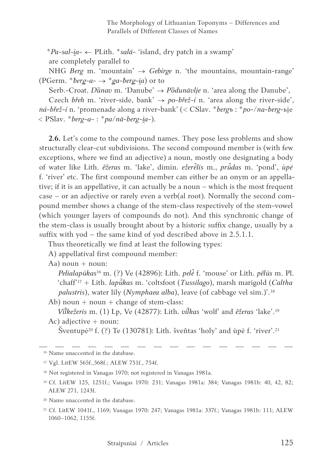\**Pa-sal-i̯a-* ← PLith. \**salā-* 'island, dry patch in a swamp'

are completely parallel to

NHG *Berg* m. 'mountain'  $\rightarrow$  *Gebirge* n. 'the mountains, mountain-range' (PGerm.  $*berg-a \rightarrow *ga-berg-ia$ ) or to

Serb.-Croat. *Dȕnav* m. 'Danube' → *Pȍdunāvlje* n. 'area along the Danube',

Czech *břeh* m. 'river-side, bank'  $\rightarrow$  *po-břež-í* n. 'area along the river-side', *ná-břež-í* n. 'promenade along a river-bank' (< CSlav. \**bergъ* : \**po*-/*na*-*berg*-ьje < PSlav. \**berg-a*- : \**pa*/*nā-berg-i̯a-*).

**2.6.** Let's come to the compound names. They pose less problems and show structurally clear-cut subdivisions. The second compound member is (with few exceptions, where we find an adjective) a noun, mostly one designating a body of water like Lith. *ẽžeras* m. 'lake', dimin. *ežerė̃lis* m., *prū̃das* m. 'pond', *ùpė* f. 'river' etc. The first compound member can either be an onym or an appellative; if it is an appellative, it can actually be a noun – which is the most frequent case – or an adjective or rarely even a verb(al root). Normally the second compound member shows a change of the stem-class respectively of the stem-vowel (which younger layers of compounds do not). And this synchronic change of the stem-class is usually brought about by a historic suffix change, usually by a suffix with yod – the same kind of yod described above in 2.5.1.1.

Thus theoretically we find at least the following types:

A) appellatival first compound member:

Aa) noun  $+$  noun:

*Pelialapūkas*<sup>16</sup> m. (?) Ve (42896): Lith. *pelė̃* f. 'mouse' or Lith. *pẽlūs* m. Pl. 'chaff'17 + Lith. *lapū̃kas* m. 'coltsfoot (*Tussilago*), marsh marigold (*Caltha palustris*), water lily (*Nymphaea alba*), leave (of cabbage vel sim.)'.18

- Ab) noun  $+$  noun  $+$  change of stem-class:
- *Vil̃kežeris* m. (1) Lp, Ve (42877): Lith. *vil̃kas* 'wolf' and *ẽžeras* 'lake'.19 Ac) adjective  $+$  noun:
	- Šventupė20 f. (?) Te (130781): Lith. šveñtas 'holy' and ùpė f. 'river'.21

<sup>16</sup> Name unaccented in the database.

<sup>17</sup> Vgl. LitEW 565f.,568f.; ALEW 751f., 754f.

<sup>18</sup> Not registered in Vanagas 1970; not registered in Vanagas 1981a.

<sup>19</sup> Cf. LitEW 125, 1251f.; Vanagas 1970: 231; Vanagas 1981a: 384; Vanagas 1981b: 40, 42, 82; ALEW 271, 1243f.

<sup>20</sup> Name unaccented in the database.

<sup>21</sup> Cf. LitEW 1041f., 1169; Vanagas 1970: 247; Vanagas 1981a: 337f.; Vanagas 1981b: 111; ALEW 1060–1062, 1155f.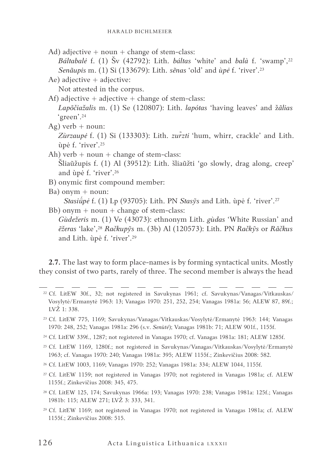Ad) adjective  $+$  noun  $+$  change of stem-class:

*Báltabalė* f. (1) Šv (42792): Lith. *báltas* 'white' and *balà* f. 'swamp',22 *Senãupis* m. (1) Si (133679): Lith. *sẽnas* 'old' and *ùpė* f. 'river'.23

Ae) adjective + adjective:

Not attested in the corpus.

Af) adjective  $+$  adjective  $+$  change of stem-class:

*Lapõčiažalis* m. (1) Se (120807): Lith. *lapótas* 'having leaves' and ž*ãlias* 'green'.24

 $Ag)$  verb + noun:

*Zùrzaupė* f. (1) Si (133303): Lith. *zur̃zti* 'hum, whirr, crackle' and Lith. ùpė f. 'river'.25

- Ah) verb  $+$  noun  $+$  change of stem-class: Šliaũžupis f. (1) Al (39512): Lith. šliaũžti 'go slowly, drag along, creep' and ùpė f. 'river'.26
- B) onymic first compound member:
- $Ba)$  onym + noun: *Stasiū́pė* f. (1) Lp (93705): Lith. PN *Stasỹs* and Lith. ùpė f. 'river'.27

Bb) onym  $+$  noun  $+$  change of stem-class:

*Gùdežeris* m. (1) Ve (43073): ethnonym Lith. *gùdas* 'White Russian' and *ẽžeras* 'lake',28 *Račkupỹs* m. (3b) Al (120573): Lith. PN *Račkỹs* or *Rãčkus* and Lith. ùpė f. 'river'.29

**2.7.** The last way to form place-names is by forming syntactical units. Mostly they consist of two parts, rarely of three. The second member is always the head

- <sup>25</sup> Cf. LitEW 1169, 1280f.; not registered in Savukynas/Vanagas/Vitkauskas/Vosylytė/Ermanytė 1963; cf. Vanagas 1970: 240; Vanagas 1981a: 395; ALEW 1155f.; Zinkevičius 2008: 582.
- <sup>26</sup> Cf. LitEW 1003, 1169; Vanagas 1970: 252; Vanagas 1981a: 334; ALEW 1044, 1155f.
- <sup>27</sup> Cf. LitEW 1159; not registered in Vanagas 1970; not registered in Vanagas 1981a; cf. ALEW 1155f.; Zinkevičius 2008: 345, 475.
- <sup>28</sup> Cf. LitEW 125, 174; Savukynas 1966a: 193; Vanagas 1970: 238; Vanagas 1981a: 125f.; Vanagas 1981b: 115; ALEW 271; LVŽ 3: 333, 341.
- <sup>29</sup> Cf. LitEW 1169; not registered in Vanagas 1970; not registered in Vanagas 1981a; cf. ALEW 1155f.; Zinkevičius 2008: 515.

<sup>22</sup> Cf. LitEW 30f., 32; not registered in Savukynas 1961; cf. Savukynas/Vanagas/Vitkauskas/ Vosylytė/Ermanytė 1963: 13; Vanagas 1970: 251, 252, 254; Vanagas 1981a: 56; ALEW 87, 89f.; LVŽ 1: 338.

<sup>23</sup> Cf. LitEW 775, 1169; Savukynas/Vanagas/Vitkauskas/Vosylytė/Ermanytė 1963: 144; Vanagas 1970: 248, 252; Vanagas 1981a: 296 (s.v. *Senùtė*); Vanagas 1981b: 71; ALEW 901f., 1155f.

<sup>24</sup> Cf. LitEW 339f., 1287; not registered in Vanagas 1970; cf. Vanagas 1981a: 181; ALEW 1285f.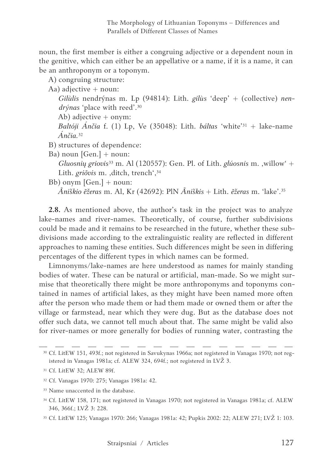noun, the first member is either a congruing adjective or a dependent noun in the genitive, which can either be an appellative or a name, if it is a name, it can be an anthroponym or a toponym.

A) congruing structure:

Aa) adjective  $+$  noun:

*Gilùlis* nendrýnas m. Lp (94814): Lith. *gilùs* 'deep' + (collective) *nendrýnas* 'place with reed'.30

Ab) adjective + onym:

*Baltóji Ánčia* f. (1) Lp, Ve (35048): Lith. *báltas* 'white'31 + lake-name *Ánčia.*<sup>32</sup>

- B) structures of dependence:
- Ba) noun  $[Gen. ] + noun:$

*Gluosnių griovis*<sup>33</sup> m. Al (120557): Gen. Pl. of Lith. *glúosnis* m. ,willow<sup>4</sup> + Lith. *griõvis* m. ,ditch, trench<sup>', 34</sup>

Bb) onym  $[Gen.]+$  noun:

*Ãniškio ẽžeras* m. Al, Kr (42692): PlN *Ãniškis* + Lith. *ẽžeras* m. 'lake'.35

**2.8.** As mentioned above, the author's task in the project was to analyze lake-names and river-names. Theoretically, of course, further subdivisions could be made and it remains to be researched in the future, whether these subdivisions made according to the extralinguistic reality are reflected in different approaches to naming these entities. Such differences might be seen in differing percentages of the different types in which names can be formed.

Limnonyms/lake-names are here understood as names for mainly standing bodies of water. These can be natural or artificial, man-made. So we might surmise that theoretically there might be more anthroponyms and toponyms contained in names of artificial lakes, as they might have been named more often after the person who made them or had them made or owned them or after the village or farmstead, near which they were dug. But as the database does not offer such data, we cannot tell much about that. The same might be valid also for river-names or more generally for bodies of running water, contrasting the

<sup>30</sup> Cf. LitEW 151, 493f.; not registered in Savukynas 1966a; not registered in Vanagas 1970; not registered in Vanagas 1981a; cf. ALEW 324, 694f.; not registered in LVŽ 3.

<sup>31</sup> Cf. LitEW 32; ALEW 89f.

<sup>32</sup> Cf. Vanagas 1970: 275; Vanagas 1981a: 42.

<sup>33</sup> Name unaccented in the database.

<sup>34</sup> Cf. LitEW 158, 171; not registered in Vanagas 1970; not registered in Vanagas 1981a; cf. ALEW 346, 366f.; LVŽ 3: 228.

<sup>35</sup> Cf. LitEW 125; Vanagas 1970: 266; Vanagas 1981a: 42; Pupkis 2002: 22; ALEW 271; LVŽ 1: 103.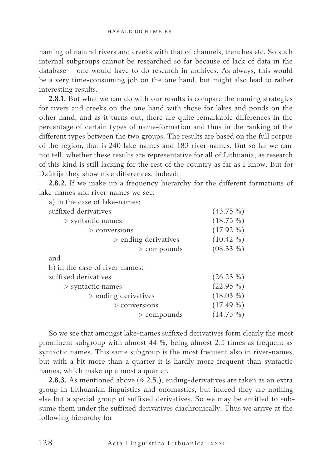naming of natural rivers and creeks with that of channels, trenches etc. So such internal subgroups cannot be researched so far because of lack of data in the database – one would have to do research in archives. As always, this would be a very time-consuming job on the one hand, but might also lead to rather interesting results.

**2.8.1.** But what we can do with our results is compare the naming strategies for rivers and creeks on the one hand with those for lakes and ponds on the other hand, and as it turns out, there are quite remarkable differences in the percentage of certain types of name-formation and thus in the ranking of the different types between the two groups. The results are based on the full corpus of the region, that is 240 lake-names and 183 river-names. But so far we cannot tell, whether these results are representative for all of Lithuania, as research of this kind is still lacking for the rest of the country as far as I know. But for Dzūkija they show nice differences, indeed:

**2.8.2.** If we make up a frequency hierarchy for the different formations of lake-names and river-names we see:

| a) in the case of lake-names:  |               |              |
|--------------------------------|---------------|--------------|
| suffixed derivatives           |               | $(43.75\%)$  |
| $>$ syntactic names            |               | $(18.75\%)$  |
| $>$ conversions                |               | $(17.92\% )$ |
| $>$ ending derivatives         |               | $(10.42\% )$ |
|                                | $>$ compounds | $(08.33\%)$  |
| and                            |               |              |
| b) in the case of river-names: |               |              |
| suffixed derivatives           |               | $(26.23\%)$  |
| $>$ syntactic names            |               | $(22.95\%)$  |
| $>$ ending derivatives         |               | $(18.03\%)$  |
| $>$ conversions                |               | $(17.49\%)$  |
|                                | $>$ compounds | $(14.75\%)$  |
|                                |               |              |

So we see that amongst lake-names suffixed derivatives form clearly the most prominent subgroup with almost 44 %, being almost 2.5 times as frequent as syntactic names. This same subgroup is the most frequent also in river-names, but with a bit more than a quarter it is hardly more frequent than syntactic names, which make up almost a quarter.

**2.8.3.** As mentioned above (§ 2.5.), ending-derivatives are taken as an extra group in Lithuanian linguistics and onomastics, but indeed they are nothing else but a special group of suffixed derivatives. So we may be entitled to subsume them under the suffixed derivatives diachronically. Thus we arrive at the following hierarchy for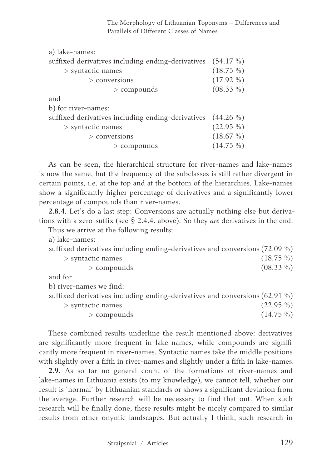The Morphology of Lithuanian Toponyms – Differences and Parallels of Different Classes of Names

| a) lake-names:                                    |              |
|---------------------------------------------------|--------------|
| suffixed derivatives including ending-derivatives | $(54.17\%)$  |
| $>$ syntactic names                               | $(18.75\%)$  |
| $>$ conversions                                   | $(17.92\% )$ |
| $>$ compounds                                     | $(08.33\%)$  |
| and                                               |              |
| b) for river-names:                               |              |
| suffixed derivatives including ending-derivatives | $(44.26\%$   |
| $>$ syntactic names                               | $(22.95\%)$  |
| $>$ conversions                                   | $(18.67\%)$  |
| $>$ compounds                                     | $(14.75\%)$  |

As can be seen, the hierarchical structure for river-names and lake-names is now the same, but the frequency of the subclasses is still rather divergent in certain points, i.e. at the top and at the bottom of the hierarchies. Lake-names show a significantly higher percentage of derivatives and a significantly lower percentage of compounds than river-names.

**2.8.4.** Let's do a last step: Conversions are actually nothing else but derivations with a zero-suffix (see § 2.4.4. above). So they *are* derivatives in the end.

Thus we arrive at the following results:

a) lake-names:

|  | suffixed derivatives including ending-derivatives and conversions (72.09 %) |
|--|-----------------------------------------------------------------------------|
|--|-----------------------------------------------------------------------------|

| $>$ syntactic names | $(18.75\%)$ |  |
|---------------------|-------------|--|
|---------------------|-------------|--|

 $>$  compounds (08.33 %)

and for

b) river-names we find:

suffixed derivatives including ending-derivatives and conversions (62.91 %)

 $>$  syntactic names (22.95 %)

 $>$  compounds (14.75 %)

These combined results underline the result mentioned above: derivatives are significantly more frequent in lake-names, while compounds are significantly more frequent in river-names. Syntactic names take the middle positions with slightly over a fifth in river-names and slightly under a fifth in lake-names.

**2.9.** As so far no general count of the formations of river-names and lake-names in Lithuania exists (to my knowledge), we cannot tell, whether our result is 'normal' by Lithuanian standards or shows a significant deviation from the average. Further research will be necessary to find that out. When such research will be finally done, these results might be nicely compared to similar results from other onymic landscapes. But actually I think, such research in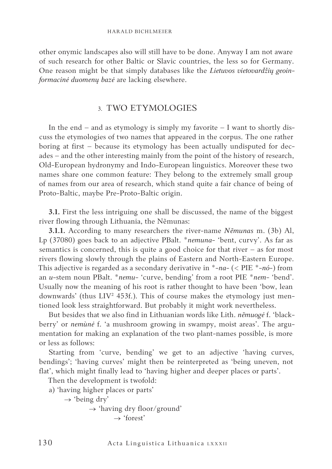other onymic landscapes also will still have to be done. Anyway I am not aware of such research for other Baltic or Slavic countries, the less so for Germany. One reason might be that simply databases like the *Lietuvos vietovardžių geoinformacinė duomenų bazė* are lacking elsewhere.

## 3. TWO ETYMOLOGIES

In the end – and as etymology is simply my favorite – I want to shortly discuss the etymologies of two names that appeared in the corpus. The one rather boring at first – because its etymology has been actually undisputed for decades – and the other interesting mainly from the point of the history of research, Old-European hydronymy and Indo-European linguistics. Moreover these two names share one common feature: They belong to the extremely small group of names from our area of research, which stand quite a fair chance of being of Proto-Baltic, maybe Pre-Proto-Baltic origin.

**3.1.** First the less intriguing one shall be discussed, the name of the biggest river flowing through Lithuania, the Nẽmunas:

**3.1.1.** According to many researchers the river-name *Nẽmunas* m. (3b) Al, Lp (37080) goes back to an adjective PBalt. \**nemuna*- 'bent, curvy'. As far as semantics is concerned, this is quite a good choice for that river – as for most rivers flowing slowly through the plains of Eastern and North-Eastern Europe. This adjective is regarded as a secondary derivative in \*-*na-* (< PIE \*-*nó-*) from an *u*-stem noun PBalt. \**nemu*- 'curve, bending' from a root PIE \**nem*- 'bend'. Usually now the meaning of his root is rather thought to have been 'bow, lean downwards' (thus LIV² 453f.). This of course makes the etymology just mentioned look less straightforward. But probably it might work nevertheless.

But besides that we also find in Lithuanian words like Lith. *nẽmuogė* f. 'blackberry' or *nemùnė* f. 'a mushroom growing in swampy, moist areas'. The argumentation for making an explanation of the two plant-names possible, is more or less as follows:

Starting from 'curve, bending' we get to an adjective 'having curves, bendings'; 'having curves' might then be reinterpreted as 'being uneven, not flat', which might finally lead to 'having higher and deeper places or parts'.

Then the development is twofold:

a) 'having higher places or parts'

 $\rightarrow$  'being dry'

```
\rightarrow 'having dry floor/ground'
\rightarrow 'forest'
```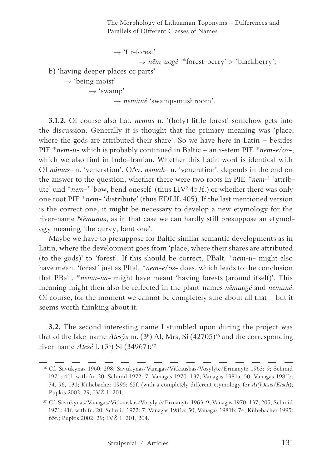The Morphology of Lithuanian Toponyms – Differences and Parallels of Different Classes of Names

 $\rightarrow$  'fir-forest' → *nẽm-uogė* '\*forest-berry' > 'blackberry';

b) 'having deeper places or parts'

 $\rightarrow$  'being moist'

 $\rightarrow$  'swamp'

→ *nemùnė* 'swamp-mushroom'.

**3.1.2.** Of course also Lat. *nemus* n. '(holy) little forest' somehow gets into the discussion. Generally it is thought that the primary meaning was 'place, where the gods are attributed their share'. So we have here in Latin – besides PIE \**nem*-*u*- which is probably continued in Baltic – an *s*-stem PIE \**nem*-*e*/*os*-, which we also find in Indo-Iranian. Whether this Latin word is identical with OI *námas*- n. 'veneration', OAv. *nәmah*- n. 'veneration', depends in the end on the answer to the question, whether there were two roots in PIE \**nem*<sup>-1</sup> 'attribute' und \**nem-*² 'bow, bend oneself' (thus LIV² 453f.) or whether there was only one root PIE \**nem*- 'distribute' (thus EDLIL 405). If the last mentioned version is the correct one, it might be necessary to develop a new etymology for the river-name *Nẽmunas*, as in that case we can hardly still presuppose an etymology meaning 'the curvy, bent one'.

Maybe we have to presuppose for Baltic similar semantic developments as in Latin, where the development goes from 'place, where their shares are attributed (to the gods)' to 'forest'. If this should be correct, PBalt. \**nem*-*u*- might also have meant 'forest' just as PItal. \**nem*-*e*/*os*- does, which leads to the conclusion that PBalt. \**nemu*-*na*- might have meant 'having forests (around itself)'. This meaning might then also be reflected in the plant-names *nẽmuogė* and *nemùnė*. Of course, for the moment we cannot be completely sure about all that – but it seems worth thinking about it.

**3.2.** The second interesting name I stumbled upon during the project was that of the lake-name *Ates*ys m. (3<sup>b</sup>) Al, Mrs, Si (42705)<sup>36</sup> and the corresponding river-name *Atesė̃* f. (3b) Si (34967):37

<sup>36</sup> Cf. Savukynas 1960: 298; Savukynas/Vanagas/Vitkauskas/Vosylytė/Ermanytė 1963: 9; Schmid 1971: 41f. with fn. 20; Schmid 1972: 7; Vanagas 1970: 137; Vanagas 1981a: 50; Vanagas 1981b: 74, 96, 131; Kühebacher 1995: 65f. (with a completely different etymology for *At(h)esis*/*Etsch*); Pupkis 2002: 29; LVŽ 1: 201.

<sup>37</sup> Cf. Savukynas/Vanagas/Vitkauskas/Vosylytė/Ermanytė 1963: 9; Vanagas 1970: 137, 205; Schmid 1971: 41f. with fn. 20; Schmid 1972: 7; Vanagas 1981a: 50; Vanagas 1981b: 74; Kühebacher 1995: 65f.; Pupkis 2002: 29; LVŽ 1: 201, 204.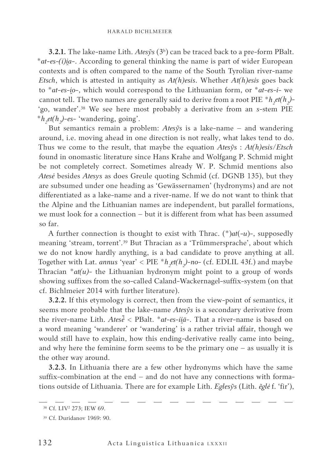**3.2.1.** The lake-name Lith. *Atesỹs* (3b) can be traced back to a pre-form PBalt. \**at-es-(i)i̯a*-. According to general thinking the name is part of wider European contexts and is often compared to the name of the South Tyrolian river-name *Etsch*, which is attested in antiquity as *At(h)esis*. Whether *At(h)esis* goes back to \**at-es-i̯o*-, which would correspond to the Lithuanian form, or \**at-es-i*- we cannot tell. The two names are generally said to derive from a root PIE  $^*h_2$ *et*( $h_2$ )-'go, wander'.38 We see here most probably a derivative from an *s*-stem PIE \**h2 et(h2 )*-*es*- 'wandering, going'.

But semantics remain a problem: *Atesỹs* is a lake-name – and wandering around, i.e. moving ahead in one direction is not really, what lakes tend to do. Thus we come to the result, that maybe the equation *Atesỹs* : *At(h)esis*/*Etsch* found in onomastic literature since Hans Krahe and Wolfgang P. Schmid might be not completely correct. Sometimes already W. P. Schmid mentions also *Atesė* besides *Atesys* as does Greule quoting Schmid (cf. DGNB 135), but they are subsumed under one heading as 'Gewässernamen' (hydronyms) and are not differentiated as a lake-name and a river-name. If we do not want to think that the Alpine and the Lithuanian names are independent, but parallel formations, we must look for a connection – but it is different from what has been assumed so far.

A further connection is thought to exist with Thrac. (\*)*at*(*-u*)*-*, supposedly meaning 'stream, torrent'.39 But Thracian as a 'Trümmersprache', about which we do not know hardly anything, is a bad candidate to prove anything at all. Together with Lat. *annus* 'year' <  $PIE * h_z et(h_z)$ -no- (cf. EDLIL 43f.) and maybe Thracian  $*at(u)$ - the Lithuanian hydronym might point to a group of words showing suffixes from the so-called Caland-Wackernagel-suffix-system (on that cf. Bichlmeier 2014 with further literature).

**3.2.2.** If this etymology is correct, then from the view-point of semantics, it seems more probable that the lake-name *Atesỹs* is a secondary derivative from the river-name Lith. *Atesė̃* < PBalt. \**at-es-ii̯ā*-. That a river-name is based on a word meaning 'wanderer' or 'wandering' is a rather trivial affair, though we would still have to explain, how this ending-derivative really came into being, and why here the feminine form seems to be the primary one – as usually it is the other way around.

**3.2.3.** In Lithuania there are a few other hydronyms which have the same suffix-combination at the end – and do not have any connections with formations outside of Lithuania. There are for example Lith. *Eglesỹs* (Lith. *ẽglė* f. 'fir'),

<sup>38</sup> Cf. LIV² 273; IEW 69.

<sup>39</sup> Cf. Duridanov 1969: 90.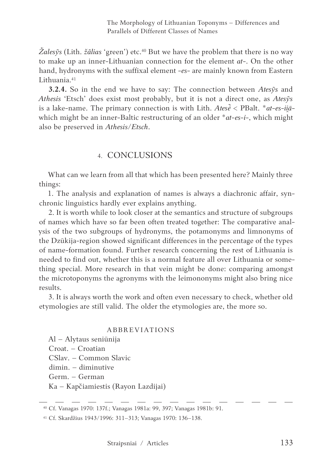*Žalesỹs* (Lith. *žãlias* 'green') etc.40 But we have the problem that there is no way to make up an inner-Lithuanian connection for the element *at*-. On the other hand, hydronyms with the suffixal element -*es-* are mainly known from Eastern Lithuania<sup>41</sup>

**3.2.4.** So in the end we have to say: The connection between *Atesỹs* and *Athesis* 'Etsch' does exist most probably, but it is not a direct one, as *Atesỹs* is a lake-name. The primary connection is with Lith. *Atesė̃* < PBalt. \**at-es-ii̯ā*which might be an inner-Baltic restructuring of an older \**at-es-i-*, which might also be preserved in *Athesis*/*Etsch*.

## 4. CONCLUSIONS

What can we learn from all that which has been presented here? Mainly three things:

1. The analysis and explanation of names is always a diachronic affair, synchronic linguistics hardly ever explains anything.

2. It is worth while to look closer at the semantics and structure of subgroups of names which have so far been often treated together: The comparative analysis of the two subgroups of hydronyms, the potamonyms and limnonyms of the Dzūkija-region showed significant differences in the percentage of the types of name-formation found. Further research concerning the rest of Lithuania is needed to find out, whether this is a normal feature all over Lithuania or something special. More research in that vein might be done: comparing amongst the microtoponyms the agronyms with the leimononyms might also bring nice results.

3. It is always worth the work and often even necessary to check, whether old etymologies are still valid. The older the etymologies are, the more so.

### ABBREVIATIONS

Al – Alytaus seniūnija Croat. – Croatian CSlav. – Common Slavic dimin. – diminutive Germ. – German Ka – Kapčiamiestis (Rayon Lazdijai)

<sup>40</sup> Cf. Vanagas 1970: 137f.; Vanagas 1981a: 99, 397; Vanagas 1981b: 91.

<sup>41</sup> Cf. Skardžius 1943/1996: 311–313; Vanagas 1970: 136–138.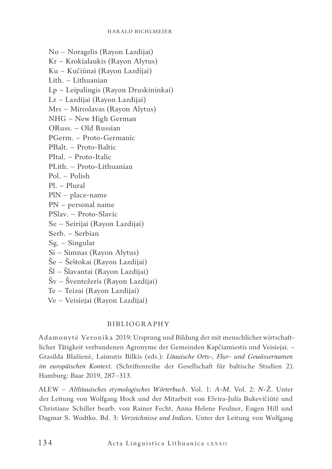No – Noragelis (Rayon Lazdijai)

Kr – Krokialaukis (Rayon Alytus)

Ku – Kučiūnai (Rayon Lazdijai)

Lith. – Lithuanian

Lp – Leipalingis (Rayon Druskininkai)

Lz – Lazdijai (Rayon Lazdijai)

Mrs – Miroslavas (Rayon Alytus)

NHG – New High German

ORuss. – Old Russian

PGerm. – Proto-Germanic

PBalt. – Proto-Baltic

PItal. – Proto-Italic

PLith. – Proto-Lithuanian

Pol. – Polish

Pl. – Plural

- PlN place-name
- PN personal name
- PSlav. Proto-Slavic
- Se Seirijai (Rayon Lazdijai)
- Serb. Serbian
- Sg. Singular
- Si Simnas (Rayon Alytus)
- Še Šeštokai (Rayon Lazdijai)
- Šl Šlavantai (Rayon Lazdijai)
- Šv Šventežeris (Rayon Lazdijai)
- Te Teizai (Rayon Lazdijai)
- Ve Veisiejai (Rayon Lazdijai)

### BIBLIOGRAPHY

Adamonytė Veronika 2019: Ursprung und Bildung der mit menschlicher wirtschaftlicher Tätigkeit verbundenen Agronyme der Gemeinden Kapčiamiestis und Veisiejai. – Grasilda Blažienė, Laimutis Bilkis (eds.): *Litauische Orts-, Flur- und Gewässernamen im europäischen Kontext*. (Schriftenreihe der Gesellschaft für baltische Studien 2). Hamburg: Baar 2019, 287–313.

ALEW – *Altlitauisches etymologisches Wörterbuch*. Vol. 1: *A*-*M*. Vol. 2: *N*-Ž. Unter der Leitung von Wolfgang Hock und der Mitarbeit von Elvira-Julia Bukevičiūtė und Christiane Schiller bearb. von Rainer Fecht, Anna Helene Feulner, Eugen Hill und Dagmar S. Wodtko. Bd. 3: *Verzeichnisse und Indices*. Unter der Leitung von Wolfgang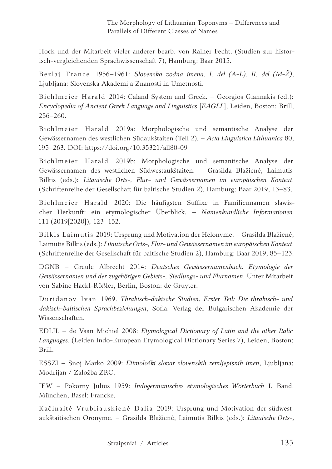Hock und der Mitarbeit vieler anderer bearb. von Rainer Fecht. (Studien zur historisch-vergleichenden Sprachwissenschaft 7), Hamburg: Baar 2015.

Bezlaj France 1956–1961: *Slovenska vodna imena. I. del (A-L). II. del (M-Ž)*, Ljubljana: Slovenska Akademija Znanosti in Umetnosti.

Bichlmeier Harald 2014: Caland System and Greek. – Georgios Giannakis (ed.): *Encyclopedia of Ancient Greek Language and Linguistics* [*EAGLL*], Leiden, Boston: Brill, 256‒260.

Bichlmeier Harald 2019a: Morphologische und semantische Analyse der Gewässernamen des westlichen Südaukštaiten (Teil 2). – *Acta Linguistica Lithuanica* 80, 195–263. DOI: https://doi.org/10.35321/all80-09

Bichlmeier Harald 2019b: Morphologische und semantische Analyse der Gewässernamen des westlichen Südwestaukštaiten. – Grasilda Blažienė, Laimutis Bilkis (eds.): *Litauische Orts-, Flur- und Gewässernamen im europäischen Kontext*. (Schriftenreihe der Gesellschaft für baltische Studien 2), Hamburg: Baar 2019, 13–83.

Bichlmeier Harald 2020: Die häufigsten Suffixe in Familiennamen slawischer Herkunft: ein etymologischer Überblick. – *Namenkundliche Informationen*  111 (2019[2020]), 123–152.

Bilkis Laimutis 2019: Ursprung und Motivation der Helonyme. – Grasilda Blažienė, Laimutis Bilkis (eds.): *Litauische Orts-, Flur- und Gewässernamen im europäischen Kontext*. (Schriftenreihe der Gesellschaft für baltische Studien 2), Hamburg: Baar 2019, 85–123.

DGNB – Greule Albrecht 2014: *Deutsches Gewässernamenbuch. Etymologie der Gewässernamen und der zugehörigen Gebiets-, Siedlungs- und Flurnamen*. Unter Mitarbeit von Sabine Hackl-Rößler, Berlin, Boston: de Gruyter.

Duridanov Ivan 1969. *Thrakisch-dakische Studien. Erster Teil: Die thrakisch- und dakisch-baltischen Sprachbeziehungen*, Sofia: Verlag der Bulgarischen Akademie der Wissenschaften.

EDLIL – de Vaan Michiel 2008: *Etymological Dictionary of Latin and the other Italic Languages*. (Leiden Indo-European Etymological Dictionary Series 7), Leiden, Boston: Brill.

ESSZI – Snoj Marko 2009: *Etimološki slovar slovenskih zemljepisnih imen*, Ljubljana: Modrijan / Založba ZRC.

IEW – Pokorny Julius 1959: *Indogermanisches etymologisches Wörterbuch* I, Band. München, Basel: Francke.

Kačinaitė-Vrubliauskienė Dalia 2019: Ursprung und Motivation der südwestaukštaitischen Oronyme. – Grasilda Blažienė, Laimutis Bilkis (eds.): *Litauische Orts-,*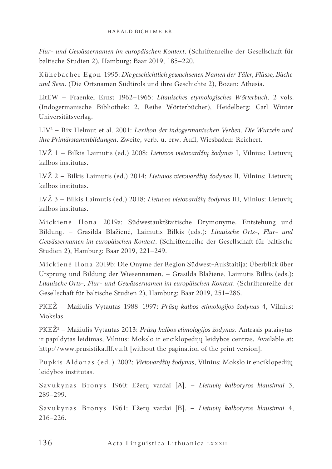*Flur- und Gewässernamen im europäischen Kontext*. (Schriftenreihe der Gesellschaft für baltische Studien 2), Hamburg: Baar 2019, 185–220.

Kühebacher Egon 1995: *Die geschichtlich gewachsenen Namen der Täler, Flüsse, Bäche und Seen*. (Die Ortsnamen Südtirols und ihre Geschichte 2), Bozen: Athesia.

LitEW – Fraenkel Ernst 1962–1965: *Litauisches etymologisches Wörterbuch*. 2 vols. (Indogermanische Bibliothek: 2. Reihe Wörterbücher), Heidelberg: Carl Winter Universitätsverlag.

LIV² – Rix Helmut et al. 2001: *Lexikon der indogermanischen Verben. Die Wurzeln und ihre Primärstammbildungen*. Zweite, verb. u. erw. Aufl, Wiesbaden: Reichert.

LVŽ 1 – Bilkis Laimutis (ed.) 2008: *Lietuvos vietovardžių žodynas* I, Vilnius: Lietuvių kalbos institutas.

LVŽ 2 – Bilkis Laimutis (ed.) 2014: *Lietuvos vietovardžių žodynas* II, Vilnius: Lietuvių kalbos institutas.

LVŽ 3 – Bilkis Laimutis (ed.) 2018: *Lietuvos vietovardžių žodynas* III, Vilnius: Lietuvių kalbos institutas.

Mickienė Ilona 2019a: Südwestauktštaitische Drymonyme. Entstehung und Bildung. – Grasilda Blažienė, Laimutis Bilkis (eds.): *Litauische Orts-, Flur- und Gewässernamen im europäischen Kontext*. (Schriftenreihe der Gesellschaft für baltische Studien 2), Hamburg: Baar 2019, 221–249.

Mickienė Ilona 2019b: Die Onyme der Region Südwest-Aukštaitija: Überblick über Ursprung und Bildung der Wiesennamen. – Grasilda Blažienė, Laimutis Bilkis (eds.): *Litauische Orts-, Flur- und Gewässernamen im europäischen Kontext*. (Schriftenreihe der Gesellschaft für baltische Studien 2), Hamburg: Baar 2019, 251–286.

PKEŽ – Mažiulis Vytautas 1988–1997: *Prūsų kalbos etimologijos žodynas* 4, Vilnius: Mokslas.

PKEŽ<sup>2</sup> – Mažiulis Vytautas 2013: *Prūsų kalbos etimologijos žodynas*. Antrasis pataisytas ir papildytas leidimas, Vilnius: Mokslo ir enciklopedijų leidybos centras. Available at: http://www.prusistika.flf.vu.lt [without the pagination of the print version].

Pupkis Aldonas (ed.) 2002: *Vietovardžių žodynas*, Vilnius: Mokslo ir enciklopedijų leidybos institutas.

Savukynas Bronys 1960: Ežerų vardai [A]. – *Lietuvių kalbotyros klausimai* 3, 289–299.

Savukynas Bronys 1961: Ežerų vardai [B]. – *Lietuvių kalbotyros klausimai* 4, 216–226.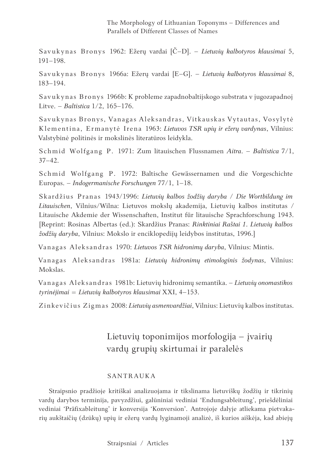The Morphology of Lithuanian Toponyms – Differences and Parallels of Different Classes of Names

Savukynas Bronys 1962: Ežerų vardai [Č–D]. – *Lietuvių kalbotyros klausimai* 5, 191–198.

Savukynas Bronys 1966a: Ežerų vardai [E–G]. – *Lietuvių kalbotyros klausimai* 8, 183–194.

Savukynas Bronys 1966b: K probleme zapadnobaltijskogo substrata v jugozapadnoj Litve. – *Baltistica* 1/2, 165–176.

Savukynas Bronys, Vanagas Aleksandras, Vitkauskas Vytautas, Vosylytė Klementina, Ermanytė Irena 1963: *Lietuvos TSR upių ir ežerų vardynas*, Vilnius: Valstybinė politinės ir mokslinės literatūros leidykla.

Schmid Wolfgang P. 1971: Zum litauischen Flussnamen *Aitra*. – *Baltistica* 7/1, 37–42.

Schmid Wolfgang P. 1972: Baltische Gewässernamen und die Vorgeschichte Europas. – *Indogermanische Forschungen* 77/1, 1–18.

Skardžius Pranas 1943/1996: *Lietuvių kalbos žodžių daryba* / *Die Wortbildung im Litauischen*, Vilnius/Wilna: Lietuvos mokslų akademija, Lietuvių kalbos institutas / Litauische Akdemie der Wissenschaften, Institut für litauische Sprachforschung 1943. [Reprint: Rosinas Albertas (ed.): Skardžius Pranas: *Rinktiniai Raštai 1*. *Lietuvių kalbos žodžių daryba*, Vilnius: Mokslo ir enciklopedijų leidybos institutas, 1996.]

Vanagas Aleksandras 1970: *Lietuvos TSR hidronimų daryba*, Vilnius: Mintis.

Vanagas Aleksandras 1981a: *Lietuvių hidronimų etimologinis žodynas*, Vilnius: Mokslas.

Vanagas Aleksandras 1981b: Lietuvių hidronimų semantika. – *Lietuvių onomastikos tyrinėjimai* = *Lietuvių kalbotyros klausimai* XXI, 4–153.

Zinkevičius Zigmas 2008: *Lietuvių asmenvardžiai*, Vilnius: Lietuvių kalbos institutas.

## Lietuvių toponimijos morfologija – įvairių vardų grupių skirtumai ir paralelės

#### SANTRAUKA

Straipsnio pradžioje kritiškai analizuojama ir tikslinama lietuviškų žodžių ir tikrinių vardų darybos terminija, pavyzdžiui, galūniniai vediniai 'Endungsableitung', priešdėliniai vediniai 'Präfixableitung' ir konversija 'Konversion'. Antrojoje dalyje atliekama pietvakarių aukštaičių (dzūkų) upių ir ežerų vardų lyginamoji analizė, iš kurios aiškėja, kad abiejų